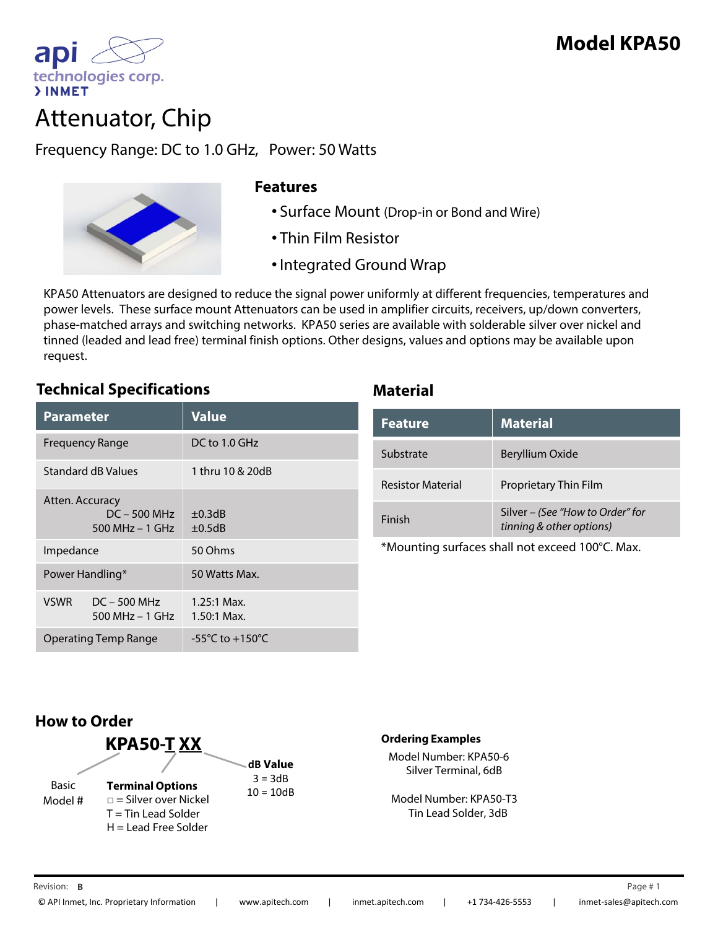

technologies corp.

ap

**>INMET** 

Frequency Range: DC to 1.0 GHz, Power: 50 Watts



## **Features**

- Surface Mount (Drop-in or Bond and Wire)
- Thin Film Resistor
- •Integrated Ground Wrap

KPA50 Attenuators are designed to reduce the signal power uniformly at different frequencies, temperatures and power levels. These surface mount Attenuators can be used in amplifier circuits, receivers, up/down converters, phase-matched arrays and switching networks. KPA50 series are available with solderable silver over nickel and tinned (leaded and lead free) terminal finish options. Other designs, values and options may be available upon request.

## **Technical Specifications Material**

| <b>Parameter</b>                                       |                                   | <b>Value</b>                          |
|--------------------------------------------------------|-----------------------------------|---------------------------------------|
| <b>Frequency Range</b>                                 |                                   | $DC$ to 1.0 GHz                       |
| Standard dB Values                                     |                                   | 1 thru 10 & 20dB                      |
| Atten. Accuracy<br>$DC - 500 MHz$<br>500 MHz $-$ 1 GHz |                                   | $\pm 0.3$ dB<br>$\pm 0.5$ dB          |
| Impedance                                              |                                   | 50 Ohms                               |
| Power Handling*                                        |                                   | 50 Watts Max.                         |
| <b>VSWR</b>                                            | $DC - 500 MHz$<br>500 MHz – 1 GHz | $1.25:1$ Max.<br>$1.50:1$ Max.        |
| Operating Temp Range                                   |                                   | -55 $^{\circ}$ C to +150 $^{\circ}$ C |

| <b>Feature</b>           | <b>Material</b>                                              |
|--------------------------|--------------------------------------------------------------|
| Substrate                | Beryllium Oxide                                              |
| <b>Resistor Material</b> | <b>Proprietary Thin Film</b>                                 |
| Finish                   | Silver - (See "How to Order" for<br>tinning & other options) |

\*Mounting surfaces shall not exceed 100°C. Max.



### **Ordering Examples**

Model Number: KPA50-6 Silver Terminal, 6dB

Model Number: KPA50-T3 Tin Lead Solder, 3dB